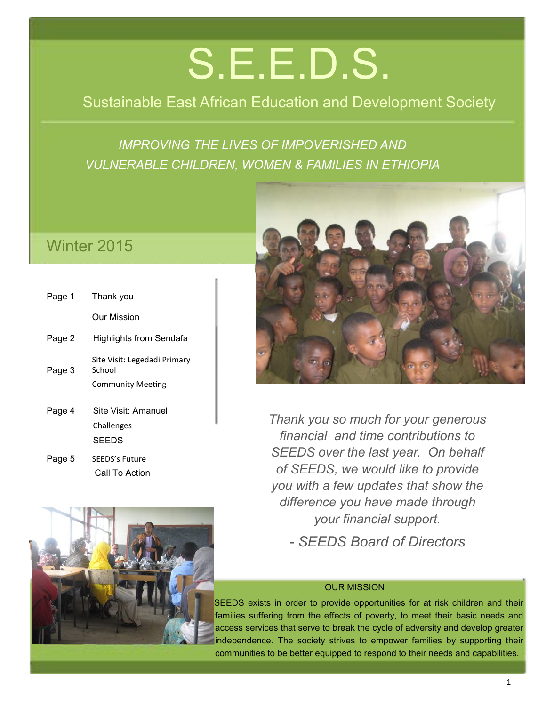# S.E.E.D.S.

## Sustainable East African Education and Development Society

#### *IMPROVING THE LIVES OF IMPOVERISHED AND VULNERABLE CHILDREN, WOMEN & FAMILIES IN ETHIOPIA*

### Winter 2015

| Page 1 | Thank you                                         |
|--------|---------------------------------------------------|
|        | Our Mission                                       |
| Page 2 | <b>Highlights from Sendafa</b>                    |
| Page 3 | Site Visit: Legedadi Primary<br>School            |
|        | <b>Community Meeting</b>                          |
| Page 4 | Site Visit: Amanuel<br>Challenges<br><b>SEEDS</b> |
| n F    | CFTDC/LTE                                         |





*Thank you so much for your generous financial and time contributions to SEEDS over the last year. On behalf of SEEDS, we would like to provide you with a few updates that show the difference you have made through your financial support.*

*- SEEDS Board of Directors*

#### OUR MISSION

SEEDS exists in order to provide opportunities for at risk children and their families suffering from the effects of poverty, to meet their basic needs and access services that serve to break the cycle of adversity and develop greater independence. The society strives to empower families by supporting their communities to be better equipped to respond to their needs and capabilities.

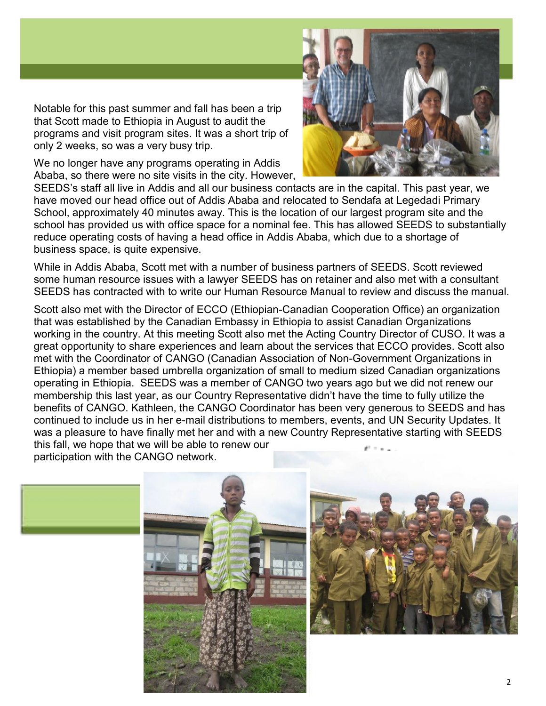Notable for this past summer and fall has been a trip that Scott made to Ethiopia in August to audit the programs and visit program sites. It was a short trip of only 2 weeks, so was a very busy trip.

We no longer have any programs operating in Addis Ababa, so there were no site visits in the city. However,



SEEDS's staff all live in Addis and all our business contacts are in the capital. This past year, we have moved our head office out of Addis Ababa and relocated to Sendafa at Legedadi Primary School, approximately 40 minutes away. This is the location of our largest program site and the school has provided us with office space for a nominal fee. This has allowed SEEDS to substantially reduce operating costs of having a head office in Addis Ababa, which due to a shortage of business space, is quite expensive.

While in Addis Ababa, Scott met with a number of business partners of SEEDS. Scott reviewed some human resource issues with a lawyer SEEDS has on retainer and also met with a consultant SEEDS has contracted with to write our Human Resource Manual to review and discuss the manual.

Scott also met with the Director of ECCO (Ethiopian-Canadian Cooperation Office) an organization that was established by the Canadian Embassy in Ethiopia to assist Canadian Organizations working in the country. At this meeting Scott also met the Acting Country Director of CUSO. It was a great opportunity to share experiences and learn about the services that ECCO provides. Scott also met with the Coordinator of CANGO (Canadian Association of Non-Government Organizations in Ethiopia) a member based umbrella organization of small to medium sized Canadian organizations operating in Ethiopia. SEEDS was a member of CANGO two years ago but we did not renew our membership this last year, as our Country Representative didn't have the time to fully utilize the benefits of CANGO. Kathleen, the CANGO Coordinator has been very generous to SEEDS and has continued to include us in her e-mail distributions to members, events, and UN Security Updates. It was a pleasure to have finally met her and with a new Country Representative starting with SEEDS this fall, we hope that we will be able to renew our

participation with the CANGO network.



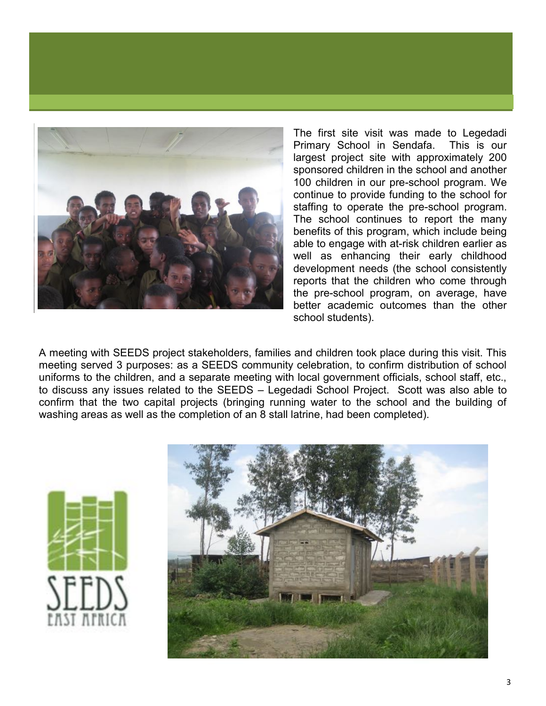

The first site visit was made to Legedadi Primary School in Sendafa. This is our largest project site with approximately 200 sponsored children in the school and another 100 children in our pre-school program. We continue to provide funding to the school for staffing to operate the pre-school program. The school continues to report the many benefits of this program, which include being able to engage with at-risk children earlier as well as enhancing their early childhood development needs (the school consistently reports that the children who come through the pre-school program, on average, have better academic outcomes than the other school students).

A meeting with SEEDS project stakeholders, families and children took place during this visit. This meeting served 3 purposes: as a SEEDS community celebration, to confirm distribution of school uniforms to the children, and a separate meeting with local government officials, school staff, etc., to discuss any issues related to the SEEDS – Legedadi School Project. Scott was also able to confirm that the two capital projects (bringing running water to the school and the building of washing areas as well as the completion of an 8 stall latrine, had been completed).



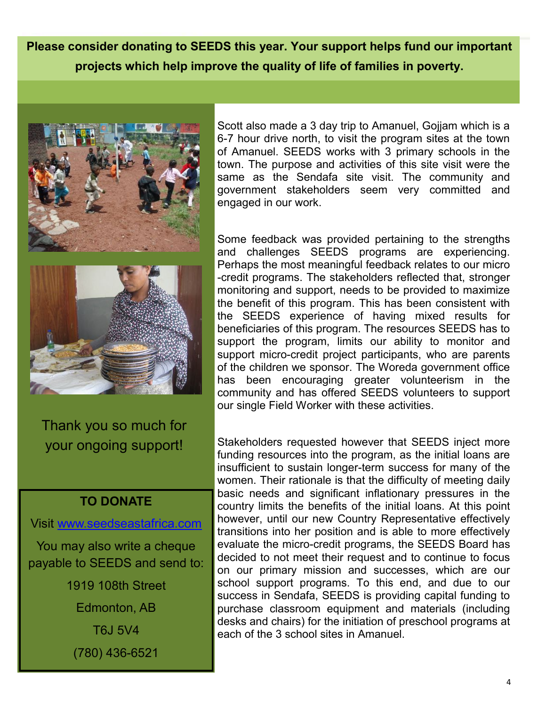**Please consider donating to SEEDS this year. Your support helps fund our important projects which help improve the quality of life of families in poverty.**





Thank you so much for your ongoing support!

#### **TO DONATE**

Visit [www.seedseastafrica.com](http://www.seedseastafrica.com)

You may also write a cheque payable to SEEDS and send to:

> 1919 108th Street Edmonton, AB T6J 5V4 (780) 436-6521

Scott also made a 3 day trip to Amanuel, Gojjam which is a 6-7 hour drive north, to visit the program sites at the town of Amanuel. SEEDS works with 3 primary schools in the town. The purpose and activities of this site visit were the same as the Sendafa site visit. The community and government stakeholders seem very committed and engaged in our work.

Some feedback was provided pertaining to the strengths and challenges SEEDS programs are experiencing. Perhaps the most meaningful feedback relates to our micro -credit programs. The stakeholders reflected that, stronger monitoring and support, needs to be provided to maximize the benefit of this program. This has been consistent with the SEEDS experience of having mixed results for beneficiaries of this program. The resources SEEDS has to support the program, limits our ability to monitor and support micro-credit project participants, who are parents of the children we sponsor. The Woreda government office has been encouraging greater volunteerism in the community and has offered SEEDS volunteers to support our single Field Worker with these activities.

Stakeholders requested however that SEEDS inject more funding resources into the program, as the initial loans are insufficient to sustain longer-term success for many of the women. Their rationale is that the difficulty of meeting daily basic needs and significant inflationary pressures in the country limits the benefits of the initial loans. At this point however, until our new Country Representative effectively transitions into her position and is able to more effectively evaluate the micro-credit programs, the SEEDS Board has decided to not meet their request and to continue to focus on our primary mission and successes, which are our school support programs. To this end, and due to our success in Sendafa, SEEDS is providing capital funding to purchase classroom equipment and materials (including desks and chairs) for the initiation of preschool programs at each of the 3 school sites in Amanuel.